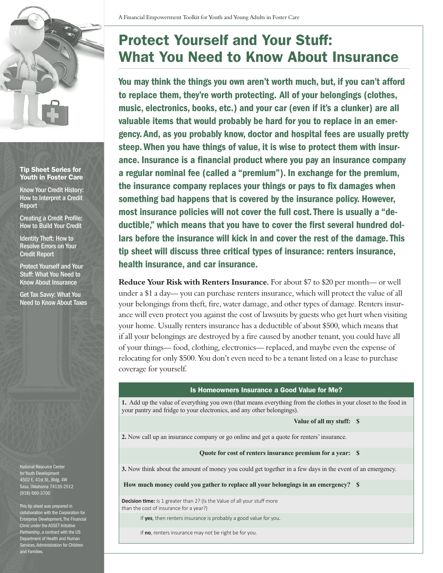

## Tip Sheet Series for Youth in Foster Care

Know Your Credit History: How to Interpret a Credit Report

Creating a Credit Profile: How to Build Your Credit

Identity Theft: How to Resolve Errors on Your Credit Report

Protect Yourself and Your Stuff: What You Need to Know About Insurance

Get Tax Savvy: What You Need to Know About Taxes

National Resource Center for Youth Development 4502 E. 41st St., Bldg. 4W Tulsa, Oklahoma 74135-2512 (918) 660-3700

This tip sheet was prepared in collaboration with the Corporation for Enterprise Development, The Financial Clinic under the ASSET Initiative Partnership, a contract with the US Department of Health and Human Services, Administration for Children and Families.

## Protect Yourself and Your Stuff: What You Need to Know About Insurance

 lars before the insurance will kick in and cover the rest of the damage. This You may think the things you own aren't worth much, but, if you can't afford to replace them, they're worth protecting. All of your belongings (clothes, music, electronics, books, etc.) and your car (even if it's a clunker) are all valuable items that would probably be hard for you to replace in an emergency. And, as you probably know, doctor and hospital fees are usually pretty steep. When you have things of value, it is wise to protect them with insurance. Insurance is a financial product where you pay an insurance company a regular nominal fee (called a "premium"). In exchange for the premium, the insurance company replaces your things or pays to fix damages when something bad happens that is covered by the insurance policy. However, most insurance policies will not cover the full cost. There is usually a "deductible," which means that you have to cover the first several hundred doltip sheet will discuss three critical types of insurance: renters insurance, health insurance, and car insurance.

**Reduce Your Risk with Renters Insurance.** For about \$7 to \$20 per month— or well under a \$1 a day— you can purchase renters insurance, which will protect the value of all your belongings from theft, fire, water damage, and other types of damage. Renters insurance will even protect you against the cost of lawsuits by guests who get hurt when visiting your home. Usually renters insurance has a deductible of about \$500, which means that if all your belongings are destroyed by a fire caused by another tenant, you could have all of your things— food, clothing, electronics— replaced, and maybe even the expense of relocating for only \$500. You don't even need to be a tenant listed on a lease to purchase coverage for yourself.

## Is Homeowners Insurance a Good Value for Me?

 **1.** Add up the value of everything you own (that means everything from the clothes in your closet to the food in your pantry and fridge to your electronics, and any other belongings).

**Value of all my stuff: \$** 

**2.** Now call up an insurance company or go online and get a quote for renters' insurance.

## **Quote for cost of renters insurance premium for a year: \$**

**3.** Now think about the amount of money you could get together in a few days in the event of an emergency.

**How much money could you gather to replace all your belongings in an emergency? \$** 

**Decision time:** Is 1 greater than 2? (Is the Value of all your stuff more than the cost of insurance for a year?)

If **yes**, then renters insurance is probably a good value for you.

If **no**, renters insurance may not be right be for you.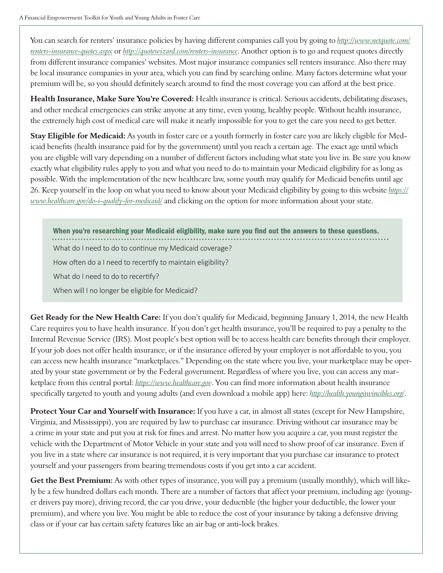You can search for renters' insurance policies by having different companies call you by going to *http://www.netquote.com/ [renters-insurance-quotes.aspx](http://www.netquote.com/renters-insurance-quotes.aspx)* or *http://quotewizard.com/renters-insurance*. Another option is to go and request quotes directly from different insurance companies' websites. Most major insurance companies sell renters insurance. Also there may be local insurance companies in your area, which you can find by searching online. Many factors determine what your premium will be, so you should definitely search around to find the most coverage you can afford at the best price.

**Health Insurance, Make Sure You're Covered:** Health insurance is critical. Serious accidents, debilitating diseases, and other medical emergencies can strike anyone at any time, even young, healthy people. Without health insurance, the extremely high cost of medical care will make it nearly impossible for you to get the care you need to get better.

**Stay Eligible for Medicaid:** As youth in foster care or a youth formerly in foster care you are likely eligible for Medicaid benefits (health insurance paid for by the government) until you reach a certain age. The exact age until which you are eligible will vary depending on a number of different factors including what state you live in. Be sure you know exactly what eligibility rules apply to you and what you need to do to maintain your Medicaid eligibility for as long as possible. With the implementation of the new healthcare law, some youth may qualify for Medicaid benefits until age 26. Keep yourself in the loop on what you need to know about your Medicaid eligibility by going to this website *[https://](https://www.healthcare.gov/do-i-qualify-for-medicaid) www.healthcare.gov/do-i-qualify-for-medicaid/* and clicking on the option for more information about your state.

When you're researching your Medicaid eligibility, make sure you find out the answers to these questions. What do I need to do to continue my Medicaid coverage?

How often do a I need to recertify to maintain eligibility?

What do I need to do to recertify?

When will I no longer be eligible for Medicaid?

**Get Ready for the New Health Care:** If you don't qualify for Medicaid, beginning January 1, 2014, the new Health Care requires you to have health insurance. If you don't get health insurance, you'll be required to pay a penalty to the Internal Revenue Service (IRS). Most people's best option will be to access health care benefits through their employer. If your job does not offer health insurance, or if the insurance offered by your employer is not affordable to you, you can access new health insurance "marketplaces." Depending on the state where you live, your marketplace may be operated by your state government or by the Federal government. Regardless of where you live, you can access any marketplace from this central portal: *https://www.healthcare.gov*. You can find more information about health insurance specifically targeted to youth and young adults (and even download a mobile app) here: *http://health.younginvincibles.org/*.

**Protect Your Car and Yourself with Insurance:** If you have a car, in almost all states (except for New Hampshire, Virginia, and Mississippi), you are required by law to purchase car insurance. Driving without car insurance may be a crime in your state and put you at risk for fines and arrest. No matter how you acquire a car, you must register the vehicle with the Department of Motor Vehicle in your state and you will need to show proof of car insurance. Even if you live in a state where car insurance is not required, it is very important that you purchase car insurance to protect yourself and your passengers from bearing tremendous costs if you get into a car accident.

**Get the Best Premium:** As with other types of insurance, you will pay a premium (usually monthly), which will likely be a few hundred dollars each month. There are a number of factors that affect your premium, including age (younger drivers pay more), driving record, the car you drive, your deductible (the higher your deductible, the lower your premium), and where you live. You might be able to reduce the cost of your insurance by taking a defensive driving class or if your car has certain safety features like an air bag or anti-lock brakes.